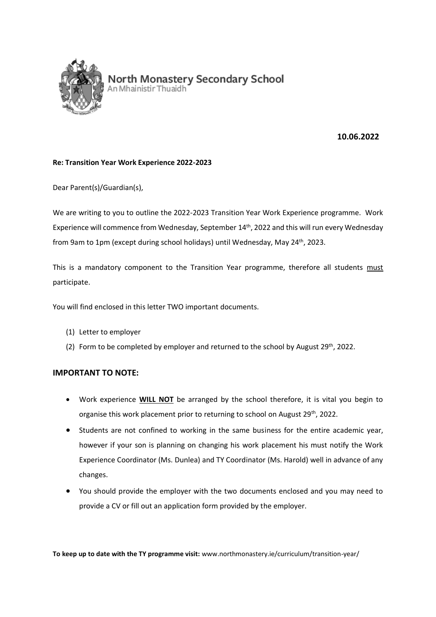

# **10.06.2022**

#### **Re: Transition Year Work Experience 2022-2023**

Dear Parent(s)/Guardian(s),

We are writing to you to outline the 2022-2023 Transition Year Work Experience programme. Work Experience will commence from Wednesday, September 14th, 2022 and this will run every Wednesday from 9am to 1pm (except during school holidays) until Wednesday, May 24<sup>th</sup>, 2023.

This is a mandatory component to the Transition Year programme, therefore all students must participate.

You will find enclosed in this letter TWO important documents.

- (1) Letter to employer
- (2) Form to be completed by employer and returned to the school by August  $29^{th}$ , 2022.

### **IMPORTANT TO NOTE:**

- Work experience **WILL NOT** be arranged by the school therefore, it is vital you begin to organise this work placement prior to returning to school on August 29<sup>th</sup>, 2022.
- Students are not confined to working in the same business for the entire academic year, however if your son is planning on changing his work placement his must notify the Work Experience Coordinator (Ms. Dunlea) and TY Coordinator (Ms. Harold) well in advance of any changes.
- You should provide the employer with the two documents enclosed and you may need to provide a CV or fill out an application form provided by the employer.

**To keep up to date with the TY programme visit:** www.northmonastery.ie/curriculum/transition-year/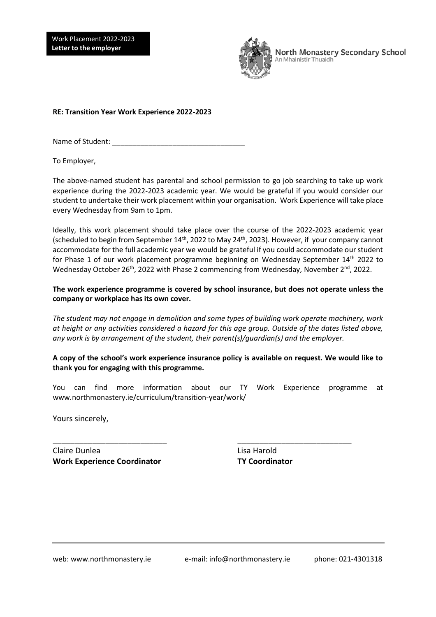Work Placement 2022-2023 **Letter to the employer** 



North Monastery Secondary School An Mhainistir Thuaidh

**RE: Transition Year Work Experience 2022-2023**

Name of Student: \_\_\_\_\_\_\_\_\_\_\_\_\_\_\_\_\_\_\_\_\_\_\_\_\_\_\_\_\_\_\_\_\_

To Employer,

I

The above-named student has parental and school permission to go job searching to take up work experience during the 2022-2023 academic year. We would be grateful if you would consider our student to undertake their work placement within your organisation. Work Experience will take place every Wednesday from 9am to 1pm.

Ideally, this work placement should take place over the course of the 2022-2023 academic year (scheduled to begin from September  $14<sup>th</sup>$ , 2022 to May 24<sup>th</sup>, 2023). However, if your company cannot accommodate for the full academic year we would be grateful if you could accommodate our student for Phase 1 of our work placement programme beginning on Wednesday September 14<sup>th</sup> 2022 to Wednesday October 26<sup>th</sup>, 2022 with Phase 2 commencing from Wednesday, November 2<sup>nd</sup>, 2022.

**The work experience programme is covered by school insurance, but does not operate unless the company or workplace has its own cover.**

*The student may not engage in demolition and some types of building work operate machinery, work at height or any activities considered a hazard for this age group. Outside of the dates listed above, any work is by arrangement of the student, their parent(s)/guardian(s) and the employer.* 

**A copy of the school's work experience insurance policy is available on request. We would like to thank you for engaging with this programme.** 

You can find more information about our TY Work Experience programme at www.northmonastery.ie/curriculum/transition-year/work/

\_\_\_\_\_\_\_\_\_\_\_\_\_\_\_\_\_\_\_\_\_\_\_\_\_\_ \_\_\_\_\_\_\_\_\_\_\_\_\_\_\_\_\_\_\_\_\_\_\_\_\_\_

Yours sincerely,

Claire Dunlea Lisa Harold **Work Experience Coordinator TY Coordinator**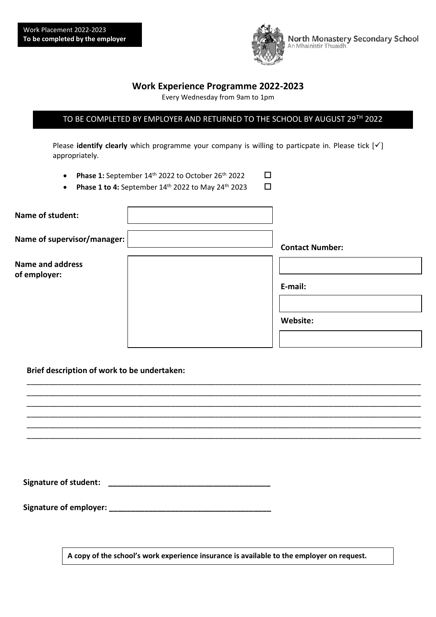

**Work Experience Programme 2022-2023**

Every Wednesday from 9am to 1pm

# TO BE COMPLETED BY EMPLOYER AND RETURNED TO THE SCHOOL BY AUGUST 29TH 2022

Please **identify clearly** which programme your company is willing to particpate in. Please tick [√] appropriately.

- **Phase 1:** September  $14<sup>th</sup>$  2022 to October 26<sup>th</sup> 2022  $\Box$
- Phase 1 to 4: September  $14^{\text{th}}$  2022 to May 24<sup>th</sup> 2023  $\Box$

| Name of student:                        |                        |
|-----------------------------------------|------------------------|
| Name of supervisor/manager:             | <b>Contact Number:</b> |
| <b>Name and address</b><br>of employer: |                        |
|                                         | E-mail:                |
|                                         |                        |
|                                         | Website:               |
|                                         |                        |

\_\_\_\_\_\_\_\_\_\_\_\_\_\_\_\_\_\_\_\_\_\_\_\_\_\_\_\_\_\_\_\_\_\_\_\_\_\_\_\_\_\_\_\_\_\_\_\_\_\_\_\_\_\_\_\_\_\_\_\_\_\_\_\_\_\_\_\_\_\_\_\_\_\_\_\_\_\_\_\_\_\_\_\_\_\_\_\_\_\_ \_\_\_\_\_\_\_\_\_\_\_\_\_\_\_\_\_\_\_\_\_\_\_\_\_\_\_\_\_\_\_\_\_\_\_\_\_\_\_\_\_\_\_\_\_\_\_\_\_\_\_\_\_\_\_\_\_\_\_\_\_\_\_\_\_\_\_\_\_\_\_\_\_\_\_\_\_\_\_\_\_\_\_\_\_\_\_\_\_\_ \_\_\_\_\_\_\_\_\_\_\_\_\_\_\_\_\_\_\_\_\_\_\_\_\_\_\_\_\_\_\_\_\_\_\_\_\_\_\_\_\_\_\_\_\_\_\_\_\_\_\_\_\_\_\_\_\_\_\_\_\_\_\_\_\_\_\_\_\_\_\_\_\_\_\_\_\_\_\_\_\_\_\_\_\_\_\_\_\_\_ \_\_\_\_\_\_\_\_\_\_\_\_\_\_\_\_\_\_\_\_\_\_\_\_\_\_\_\_\_\_\_\_\_\_\_\_\_\_\_\_\_\_\_\_\_\_\_\_\_\_\_\_\_\_\_\_\_\_\_\_\_\_\_\_\_\_\_\_\_\_\_\_\_\_\_\_\_\_\_\_\_\_\_\_\_\_\_\_\_\_ \_\_\_\_\_\_\_\_\_\_\_\_\_\_\_\_\_\_\_\_\_\_\_\_\_\_\_\_\_\_\_\_\_\_\_\_\_\_\_\_\_\_\_\_\_\_\_\_\_\_\_\_\_\_\_\_\_\_\_\_\_\_\_\_\_\_\_\_\_\_\_\_\_\_\_\_\_\_\_\_\_\_\_\_\_\_\_\_\_\_ \_\_\_\_\_\_\_\_\_\_\_\_\_\_\_\_\_\_\_\_\_\_\_\_\_\_\_\_\_\_\_\_\_\_\_\_\_\_\_\_\_\_\_\_\_\_\_\_\_\_\_\_\_\_\_\_\_\_\_\_\_\_\_\_\_\_\_\_\_\_\_\_\_\_\_\_\_\_\_\_\_\_\_\_\_\_\_\_\_\_

### **Brief description of work to be undertaken:**

| <b>Signature of student:</b> |  |
|------------------------------|--|
|------------------------------|--|

**Signature of employer: \_\_\_\_\_\_\_\_\_\_\_\_\_\_\_\_\_\_\_\_\_\_\_\_\_\_\_\_\_\_\_\_\_\_\_\_\_**

**A copy of the school's work experience insurance is available to the employer on request.**